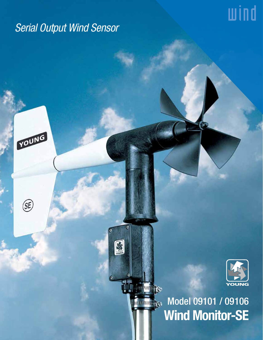# *Serial Output Wind Sensor*

G

9

**Antium Res** 

YOUNG

 $\circledS$ 



wind

Model 09101 / 09106 **Maturaturing Pers** Wind Monitor-SE